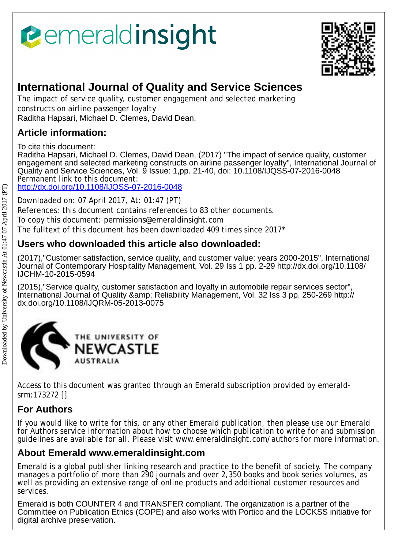# *<u><b>emeraldinsight</u>*



## **International Journal of Quality and Service Sciences**

The impact of service quality, customer engagement and selected marketing constructs on airline passenger loyalty Raditha Hapsari, Michael D. Clemes, David Dean,

## **Article information:**

To cite this document:

Raditha Hapsari, Michael D. Clemes, David Dean, (2017) "The impact of service quality, customer engagement and selected marketing constructs on airline passenger loyalty", International Journal of Quality and Service Sciences, Vol. 9 Issue: 1,pp. 21-40, doi: 10.1108/IJQSS-07-2016-0048 Permanent link to this document:

<http://dx.doi.org/10.1108/IJQSS-07-2016-0048>

Downloaded on: 07 April 2017, At: 01:47 (PT)

References: this document contains references to 83 other documents.

To copy this document: permissions@emeraldinsight.com

The fulltext of this document has been downloaded 409 times since 2017\*

### **Users who downloaded this article also downloaded:**

(2017),"Customer satisfaction, service quality, and customer value: years 2000-2015", International Journal of Contemporary Hospitality Management, Vol. 29 Iss 1 pp. 2-29 http://dx.doi.org/10.1108/ IJCHM-10-2015-0594

(2015),"Service quality, customer satisfaction and loyalty in automobile repair services sector", International Journal of Quality & amp; Reliability Management, Vol. 32 Iss 3 pp. 250-269 http:// dx.doi.org/10.1108/IJQRM-05-2013-0075



Access to this document was granted through an Emerald subscription provided by emeraldsrm:173272 []

## **For Authors**

If you would like to write for this, or any other Emerald publication, then please use our Emerald for Authors service information about how to choose which publication to write for and submission guidelines are available for all. Please visit www.emeraldinsight.com/authors for more information.

## **About Emerald www.emeraldinsight.com**

Emerald is a global publisher linking research and practice to the benefit of society. The company manages a portfolio of more than 290 journals and over 2,350 books and book series volumes, as well as providing an extensive range of online products and additional customer resources and services.

Emerald is both COUNTER 4 and TRANSFER compliant. The organization is a partner of the Committee on Publication Ethics (COPE) and also works with Portico and the LOCKSS initiative for digital archive preservation.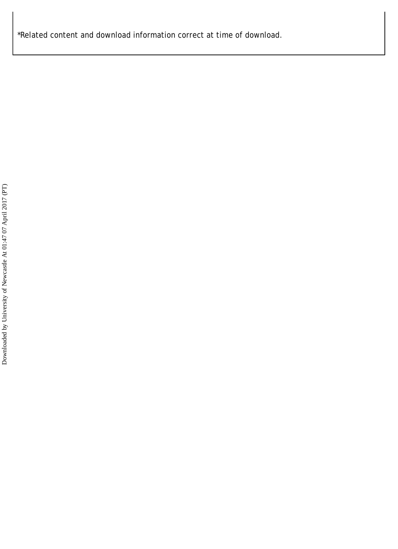\*Related content and download information correct at time of download.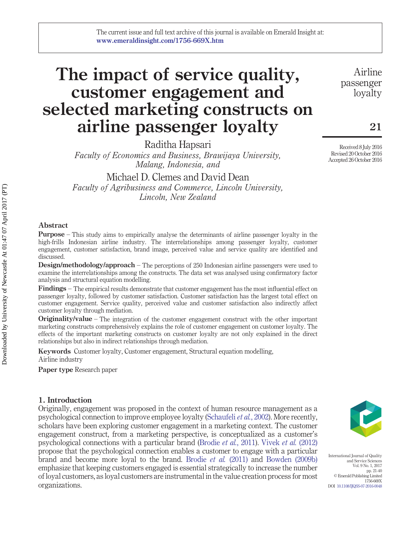## **The impact of service quality, customer engagement and selected marketing constructs on airline passenger loyalty**

Raditha Hapsari

*Faculty of Economics and Business, Brawijaya University, Malang, Indonesia, and*

Michael D. Clemes and David Dean *Faculty of Agribusiness and Commerce, Lincoln University,*

*Lincoln, New Zealand*

#### **Abstract**

**Purpose** – This study aims to empirically analyse the determinants of airline passenger loyalty in the high-frills Indonesian airline industry. The interrelationships among passenger loyalty, customer engagement, customer satisfaction, brand image, perceived value and service quality are identified and discussed.

**Design/methodology/approach** – The perceptions of 250 Indonesian airline passengers were used to examine the interrelationships among the constructs. The data set was analysed using confirmatory factor analysis and structural equation modelling.

**Findings** – The empirical results demonstrate that customer engagement has the most influential effect on passenger loyalty, followed by customer satisfaction. Customer satisfaction has the largest total effect on customer engagement. Service quality, perceived value and customer satisfaction also indirectly affect customer loyalty through mediation.

**Originality/value** – The integration of the customer engagement construct with the other important marketing constructs comprehensively explains the role of customer engagement on customer loyalty. The effects of the important marketing constructs on customer loyalty are not only explained in the direct relationships but also in indirect relationships through mediation.

**Keywords** Customer loyalty, Customer engagement, Structural equation modelling, Airline industry

**Paper type** Research paper

#### **1. Introduction**

Originally, engagement was proposed in the context of human resource management as a psychological connection to improve employee loyalty [\(Schaufeli](#page-20-0) *et al.*, 2002). More recently, scholars have been exploring customer engagement in a marketing context. The customer engagement construct, from a marketing perspective, is conceptualized as a customer's psychological connections with a particular brand [\(Brodie](#page-17-0) *et al.*, 2011). [Vivek](#page-21-0) *et al.* (2012) propose that the psychological connection enables a customer to engage with a particular brand and become more loyal to the brand. [Brodie](#page-17-0) *et al.* (2011) and [Bowden \(2009b\)](#page-17-1) emphasize that keeping customers engaged is essential strategically to increase the number of loyal customers, as loyal customers are instrumental in the value creation process for most organizations.



International Journal of Quality and Service Sciences Vol. 9 No. 1, 2017 pp. 21-40 © Emerald Publishing Limited 1756-669X DOI [10.1108/IJQSS-07-2016-0048](http://dx.doi.org/10.1108/IJQSS-07-2016-0048)

Airline passenger loyalty

Received 8 July 2016 Revised 20 October 2016 Accepted 26 October 2016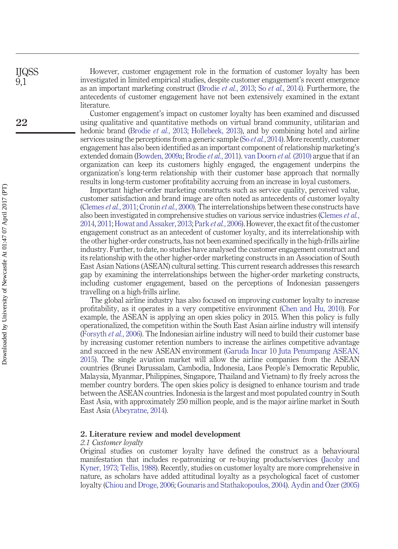However, customer engagement role in the formation of customer loyalty has been investigated in limited empirical studies, despite customer engagement's recent emergence as an important marketing construct [\(Brodie](#page-17-2) *et al.*, 2013; So *et al.*[, 2014\)](#page-20-1). Furthermore, the antecedents of customer engagement have not been extensively examined in the extant literature.

Customer engagement's impact on customer loyalty has been examined and discussed using qualitative and quantitative methods on virtual brand community, utilitarian and hedonic brand [\(Brodie](#page-17-2) *et al.*, 2013; [Hollebeek, 2013\)](#page-19-0), and by combining hotel and airline services using the perceptions from a generic sample (So *et al.*[, 2014\)](#page-20-1). More recently, customer engagement has also been identified as an important component of relationship marketing's extended domain [\(Bowden, 2009a;](#page-17-3) [Brodie](#page-17-0) *et al.*, 2011). [van Doorn](#page-21-1) *et al.* (2010) argue that if an organization can keep its customers highly engaged, the engagement underpins the organization's long-term relationship with their customer base approach that normally results in long-term customer profitability accruing from an increase in loyal customers.

Important higher-order marketing constructs such as service quality, perceived value, customer satisfaction and brand image are often noted as antecedents of customer loyalty [\(Clemes](#page-18-0) *et al.*, 2011; [Cronin](#page-18-1) *et al.*, 2000). The interrelationships between these constructs have also been investigated in comprehensive studies on various service industries [\(Clemes](#page-18-2) *et al.*, [2014,](#page-18-2) [2011;](#page-18-0)[Howat and Assaker, 2013;](#page-19-1) Park *et al.*[, 2006\)](#page-20-2). However, the exact fit of the customer engagement construct as an antecedent of customer loyalty, and its interrelationship with the other higher-order constructs, has not been examined specifically in the high-frills airline industry. Further, to date, no studies have analysed the customer engagement construct and its relationship with the other higher-order marketing constructs in an Association of South East Asian Nations (ASEAN) cultural setting. This current research addresses this research gap by examining the interrelationships between the higher-order marketing constructs, including customer engagement, based on the perceptions of Indonesian passengers travelling on a high-frills airline.

The global airline industry has also focused on improving customer loyalty to increase profitability, as it operates in a very competitive environment [\(Chen and Hu, 2010\)](#page-18-3). For example, the ASEAN is applying an open skies policy in 2015. When this policy is fully operationalized, the competition within the South East Asian airline industry will intensify [\(Forsyth](#page-18-4) *et al.*, 2006). The Indonesian airline industry will need to build their customer base by increasing customer retention numbers to increase the airlines competitive advantage and succeed in the new ASEAN environment [\(Garuda Incar 10 Juta Penumpang ASEAN,](#page-18-5) [2015\)](#page-18-5). The single aviation market will allow the airline companies from the ASEAN countries (Brunei Darussalam, Cambodia, Indonesia, Laos People's Democratic Republic, Malaysia, Myanmar, Philippines, Singapore, Thailand and Vietnam) to fly freely across the member country borders. The open skies policy is designed to enhance tourism and trade between the ASEAN countries. Indonesia is the largest and most populated country in South East Asia, with approximately 250 million people, and is the major airline market in South East Asia [\(Abeyratne, 2014\)](#page-17-4).

#### **2. Literature review and model development**

#### *2.1 Customer loyalty*

Original studies on customer loyalty have defined the construct as a behavioural manifestation that includes re-patronizing or re-buying products/services [\(Jacoby and](#page-19-2) [Kyner, 1973;](#page-19-2) [Tellis, 1988\)](#page-20-3). Recently, studies on customer loyalty are more comprehensive in nature, as scholars have added attitudinal loyalty as a psychological facet of customer loyalty [\(Chiou and Droge, 2006;](#page-18-6) [Gounaris and Stathakopoulos, 2004\)](#page-18-7). [Aydin and Özer \(2005\)](#page-17-5)

**22**

IJQSS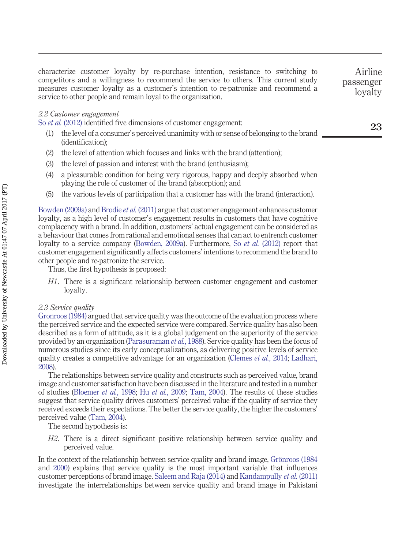characterize customer loyalty by re-purchase intention, resistance to switching to competitors and a willingness to recommend the service to others. This current study measures customer loyalty as a customer's intention to re-patronize and recommend a service to other people and remain loyal to the organization.

#### *2.2 Customer engagement*

So *et al.* [\(2012\)](#page-20-4) identified five dimensions of customer engagement:

- (1) the level of a consumer's perceived unanimity with or sense of belonging to the brand (identification);
- (2) the level of attention which focuses and links with the brand (attention);
- (3) the level of passion and interest with the brand (enthusiasm);
- (4) a pleasurable condition for being very rigorous, happy and deeply absorbed when playing the role of customer of the brand (absorption); and
- (5) the various levels of participation that a customer has with the brand (interaction).

[Bowden \(2009a\)](#page-17-3) and [Brodie](#page-17-0) *et al.* (2011) argue that customer engagement enhances customer loyalty, as a high level of customer's engagement results in customers that have cognitive complacency with a brand. In addition, customers' actual engagement can be considered as a behaviour that comes from rational and emotional senses that can act to entrench customer loyalty to a service company [\(Bowden, 2009a\)](#page-17-3). Furthermore, So *et al.* [\(2012\)](#page-20-4) report that customer engagement significantly affects customers' intentions to recommend the brand to other people and re-patronize the service.

Thus, the first hypothesis is proposed:

*H1*. There is a significant relationship between customer engagement and customer loyalty.

#### *2.3 Service quality*

[Gronroos \(1984\)](#page-18-8) argued that service quality was the outcome of the evaluation process where the perceived service and the expected service were compared. Service quality has also been described as a form of attitude, as it is a global judgement on the superiority of the service provided by an organization [\(Parasuraman](#page-20-5) *et al.*, 1988). Service quality has been the focus of numerous studies since its early conceptualizations, as delivering positive levels of service quality creates a competitive advantage for an organization [\(Clemes](#page-18-2) *et al.*, 2014; [Ladhari,](#page-19-3) [2008\)](#page-19-3).

The relationships between service quality and constructs such as perceived value, brand image and customer satisfaction have been discussed in the literature and tested in a number of studies [\(Bloemer](#page-17-6) *et al.*, 1998; Hu *et al.*[, 2009;](#page-19-4) [Tam, 2004\)](#page-20-6). The results of these studies suggest that service quality drives customers' perceived value if the quality of service they received exceeds their expectations. The better the service quality, the higher the customers' perceived value [\(Tam, 2004\)](#page-20-6).

The second hypothesis is:

*H2*. There is a direct significant positive relationship between service quality and perceived value.

In the context of the relationship between service quality and brand image, [Grönroos \(1984](#page-18-8) and [2000\)](#page-18-9) explains that service quality is the most important variable that influences customer perceptions of brand image. [Saleem and Raja \(2014\)](#page-20-7) and [Kandampully](#page-19-5) *et al.* (2011) investigate the interrelationships between service quality and brand image in Pakistani passenger loyalty

Airline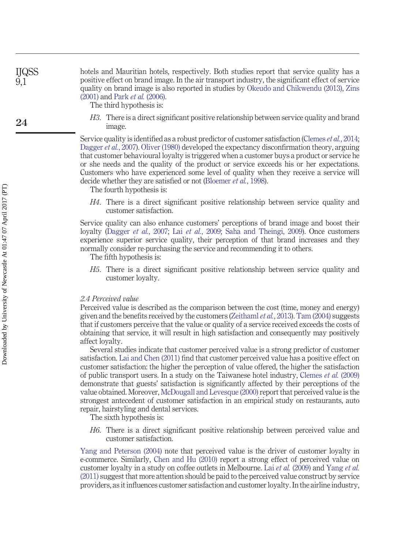hotels and Mauritian hotels, respectively. Both studies report that service quality has a positive effect on brand image. In the air transport industry, the significant effect of service quality on brand image is also reported in studies by [Okeudo and Chikwendu \(2013\),](#page-20-8) [Zins](#page-21-2) [\(2001\)](#page-21-2) and Park *et al.* [\(2006\).](#page-20-2)

The third hypothesis is:

*H3*. There is a direct significant positive relationship between service quality and brand image.

Service quality is identified as a robust predictor of customer satisfaction [\(Clemes](#page-18-2) *et al.*, 2014; [Dagger](#page-18-10) *et al.*, 2007). [Oliver \(1980\)](#page-20-9) developed the expectancy disconfirmation theory, arguing that customer behavioural loyalty is triggered when a customer buys a product or service he or she needs and the quality of the product or service exceeds his or her expectations. Customers who have experienced some level of quality when they receive a service will decide whether they are satisfied or not [\(Bloemer](#page-17-6) *et al.*, 1998).

The fourth hypothesis is:

*H4*. There is a direct significant positive relationship between service quality and customer satisfaction.

Service quality can also enhance customers' perceptions of brand image and boost their loyalty [\(Dagger](#page-18-10) *et al.*, 2007; Lai *et al.*[, 2009;](#page-19-6) [Saha and Theingi, 2009\)](#page-20-10). Once customers experience superior service quality, their perception of that brand increases and they normally consider re-purchasing the service and recommending it to others.

The fifth hypothesis is:

*H5*. There is a direct significant positive relationship between service quality and customer loyalty.

#### *2.4 Perceived value*

Perceived value is described as the comparison between the cost (time, money and energy) given and the benefits received by the customers [\(Zeithaml](#page-21-3) *et al.*, 2013). [Tam \(2004\)](#page-20-6) suggests that if customers perceive that the value or quality of a service received exceeds the costs of obtaining that service, it will result in high satisfaction and consequently may positively affect loyalty.

Several studies indicate that customer perceived value is a strong predictor of customer satisfaction. [Lai and Chen \(2011\)](#page-19-7) find that customer perceived value has a positive effect on customer satisfaction: the higher the perception of value offered, the higher the satisfaction of public transport users. In a study on the Taiwanese hotel industry, [Clemes](#page-18-11) *et al.* (2009) demonstrate that guests' satisfaction is significantly affected by their perceptions of the value obtained. Moreover, [McDougall and Levesque \(2000\)](#page-19-8) report that perceived value is the strongest antecedent of customer satisfaction in an empirical study on restaurants, auto repair, hairstyling and dental services.

The sixth hypothesis is:

*H6*. There is a direct significant positive relationship between perceived value and customer satisfaction.

[Yang and Peterson \(2004\)](#page-21-4) note that perceived value is the driver of customer loyalty in e-commerce. Similarly, [Chen and Hu \(2010\)](#page-18-3) report a strong effect of perceived value on customer loyalty in a study on coffee outlets in Melbourne. Lai *et al.* [\(2009\)](#page-19-6) and [Yang](#page-21-5) *et al.* [\(2011\)](#page-21-5) suggest that more attention should be paid to the perceived value construct by service providers, as it influences customer satisfaction and customer loyalty. In the airline industry,

IJQSS 9,1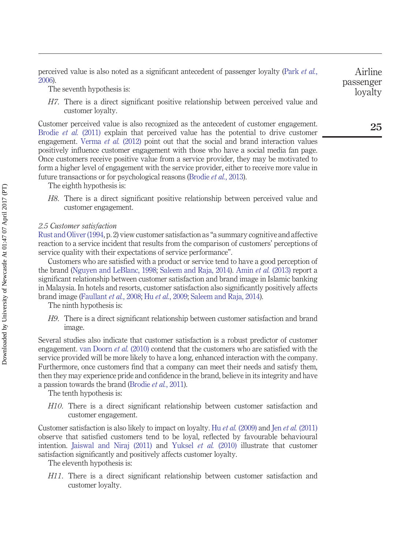perceived value is also noted as a significant antecedent of passenger loyalty [\(Park](#page-20-2) *et al.*, [2006\)](#page-20-2).

The seventh hypothesis is:

*H7*. There is a direct significant positive relationship between perceived value and customer loyalty.

Customer perceived value is also recognized as the antecedent of customer engagement. [Brodie](#page-17-0) *et al.* (2011) explain that perceived value has the potential to drive customer engagement. [Verma](#page-21-6) *et al.* (2012) point out that the social and brand interaction values positively influence customer engagement with those who have a social media fan page. Once customers receive positive value from a service provider, they may be motivated to form a higher level of engagement with the service provider, either to receive more value in future transactions or for psychological reasons [\(Brodie](#page-17-2) *et al.*, 2013).

The eighth hypothesis is:

*H8*. There is a direct significant positive relationship between perceived value and customer engagement.

#### *2.5 Customer satisfaction*

[Rust and Oliver \(1994,](#page-20-11) p. 2) view customer satisfaction as "a summary cognitive and affective reaction to a service incident that results from the comparison of customers' perceptions of service quality with their expectations of service performance".

Customers who are satisfied with a product or service tend to have a good perception of the brand [\(Nguyen and LeBlanc, 1998;](#page-20-12) [Saleem and Raja, 2014\)](#page-20-7). Amin *et al.* [\(2013\)](#page-17-7) report a significant relationship between customer satisfaction and brand image in Islamic banking in Malaysia. In hotels and resorts, customer satisfaction also significantly positively affects brand image [\(Faullant](#page-18-12) *et al.*, 2008; Hu *et al.*[, 2009;](#page-19-4) [Saleem and Raja, 2014\)](#page-20-7).

The ninth hypothesis is:

*H9*. There is a direct significant relationship between customer satisfaction and brand image.

Several studies also indicate that customer satisfaction is a robust predictor of customer engagement. [van Doorn](#page-21-1) *et al.* (2010) contend that the customers who are satisfied with the service provided will be more likely to have a long, enhanced interaction with the company. Furthermore, once customers find that a company can meet their needs and satisfy them, then they may experience pride and confidence in the brand, believe in its integrity and have a passion towards the brand [\(Brodie](#page-17-0) *et al.*, 2011).

The tenth hypothesis is:

*H10*. There is a direct significant relationship between customer satisfaction and customer engagement.

Customer satisfaction is also likely to impact on loyalty. Hu *et al.* [\(2009\)](#page-19-4) and Jen *et al.* [\(2011\)](#page-19-9) observe that satisfied customers tend to be loyal, reflected by favourable behavioural intention. [Jaiswal and Niraj \(2011\)](#page-19-10) and [Yuksel](#page-21-7) *et al.* (2010) illustrate that customer satisfaction significantly and positively affects customer loyalty.

The eleventh hypothesis is:

*H11*. There is a direct significant relationship between customer satisfaction and customer loyalty.

Airline passenger loyalty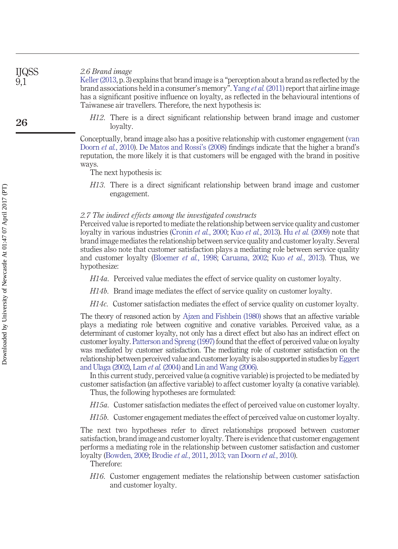*2.6 Brand image* IJQSS

> [Keller \(2013,](#page-19-11) p. 3) explains that brand image is a "perception about a brand as reflected by the brand associations held in a consumer's memory". Yang *et al.* [\(2011\)](#page-21-5) report that airline image has a significant positive influence on loyalty, as reflected in the behavioural intentions of Taiwanese air travellers. Therefore, the next hypothesis is:

*H12*. There is a direct significant relationship between brand image and customer loyalty.

Conceptually, brand image also has a positive relationship with customer engagement [\(van](#page-21-1) [Doorn](#page-21-1) *et al.*, 2010). [De Matos and Rossi's \(2008\)](#page-18-13) findings indicate that the higher a brand's reputation, the more likely it is that customers will be engaged with the brand in positive ways.

The next hypothesis is:

*H13*. There is a direct significant relationship between brand image and customer engagement.

#### *2.7 The indirect effects among the investigated constructs*

Perceived value is reported to mediate the relationship between service quality and customer loyalty in various industries [\(Cronin](#page-18-1) *et al.*, 2000; Kuo *et al.*[, 2013\)](#page-19-12). Hu *et al.* [\(2009\)](#page-19-4) note that brand image mediates the relationship between service quality and customer loyalty. Several studies also note that customer satisfaction plays a mediating role between service quality and customer loyalty [\(Bloemer](#page-17-6) *et al.*, 1998; [Caruana, 2002;](#page-17-8) Kuo *et al.*[, 2013\)](#page-19-12). Thus, we hypothesize:

*H14a*. Perceived value mediates the effect of service quality on customer loyalty.

*H14b*. Brand image mediates the effect of service quality on customer loyalty.

*H14c*. Customer satisfaction mediates the effect of service quality on customer loyalty.

The theory of reasoned action by [Ajzen and Fishbein \(1980\)](#page-17-9) shows that an affective variable plays a mediating role between cognitive and conative variables. Perceived value, as a determinant of customer loyalty, not only has a direct effect but also has an indirect effect on customer loyalty. [Patterson and Spreng \(1997\)](#page-20-13) found that the effect of perceived value on loyalty was mediated by customer satisfaction. The mediating role of customer satisfaction on the relationship between perceived value and customer loyalty is also supported in studies by Eggert [and Ulaga \(2002\),](#page-18-14) Lam *et al.* [\(2004\)](#page-19-13) and [Lin and Wang \(2006\).](#page-19-14)

In this current study, perceived value (a cognitive variable) is projected to be mediated by customer satisfaction (an affective variable) to affect customer loyalty (a conative variable).

Thus, the following hypotheses are formulated:

*H15a*. Customer satisfaction mediates the effect of perceived value on customer loyalty.

*H15b*. Customer engagement mediates the effect of perceived value on customer loyalty.

The next two hypotheses refer to direct relationships proposed between customer satisfaction, brand image and customer loyalty. There is evidence that customer engagement performs a mediating role in the relationship between customer satisfaction and customer loyalty [\(Bowden, 2009;](#page-17-3) [Brodie](#page-17-0) *et al.*, 2011, [2013;](#page-17-2) [van Doorn](#page-21-1) *et al.*, 2010).

Therefore:

*H16*. Customer engagement mediates the relationship between customer satisfaction and customer loyalty.

9,1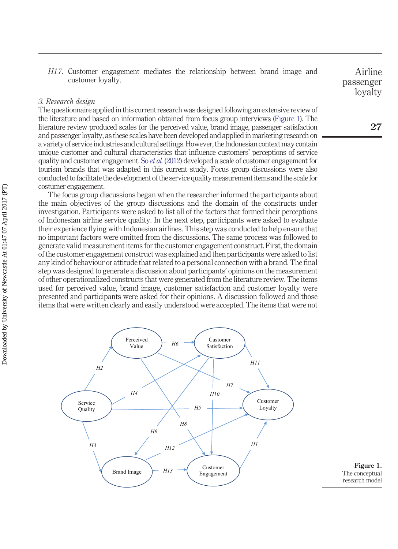*H17*. Customer engagement mediates the relationship between brand image and customer loyalty.

#### *3. Research design*

The questionnaire applied in this current research was designed following an extensive review of the literature and based on information obtained from focus group interviews [\(Figure 1\)](#page-8-0). The literature review produced scales for the perceived value, brand image, passenger satisfaction and passenger loyalty, as these scales have been developed and applied in marketing research on a variety of service industries and cultural settings. However, the Indonesian context may contain unique customer and cultural characteristics that influence customers' perceptions of service quality and customer engagement. So *et al.* [\(2012\)](#page-20-4) developed a scale of customer engagement for tourism brands that was adapted in this current study. Focus group discussions were also conducted to facilitate the development of the service quality measurement items and the scale for costumer engagement.

The focus group discussions began when the researcher informed the participants about the main objectives of the group discussions and the domain of the constructs under investigation. Participants were asked to list all of the factors that formed their perceptions of Indonesian airline service quality. In the next step, participants were asked to evaluate their experience flying with Indonesian airlines. This step was conducted to help ensure that no important factors were omitted from the discussions. The same process was followed to generate valid measurement items for the customer engagement construct. First, the domain of the customer engagement construct was explained and then participants were asked to list any kind of behaviour or attitude that related to a personal connection with a brand. The final step was designed to generate a discussion about participants' opinions on the measurement of other operationalized constructs that were generated from the literature review. The items used for perceived value, brand image, customer satisfaction and customer loyalty were presented and participants were asked for their opinions. A discussion followed and those items that were written clearly and easily understood were accepted. The items that were not



<span id="page-8-0"></span>**Figure 1.** The conceptual research model

Airline passenger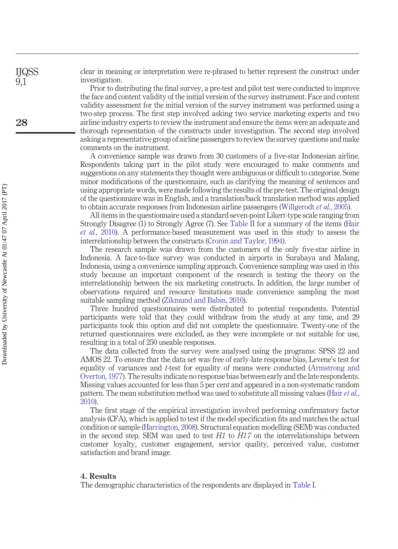clear in meaning or interpretation were re-phrased to better represent the construct under investigation.

Prior to distributing the final survey, a pre-test and pilot test were conducted to improve the face and content validity of the initial version of the survey instrument. Face and content validity assessment for the initial version of the survey instrument was performed using a two-step process. The first step involved asking two service marketing experts and two airline industry experts to review the instrument and ensure the items were an adequate and thorough representation of the constructs under investigation. The second step involved asking a representative group of airline passengers to review the survey questions and make comments on the instrument.

A convenience sample was drawn from 30 customers of a five-star Indonesian airline. Respondents taking part in the pilot study were encouraged to make comments and suggestions on any statements they thought were ambiguous or difficult to categorize. Some minor modifications of the questionnaire, such as clarifying the meaning of sentences and using appropriate words, were made following the results of the pre-test. The original design of the questionnaire was in English, and a translation/back translation method was applied to obtain accurate responses from Indonesian airline passengers [\(Willgerodt](#page-21-8) *et al.*, 2005).

All items in the questionnaire used a standard seven-point Likert-type scale ranging from Strongly Disagree (1) to Strongly Agree (7). See [Table II](#page-11-0) for a summary of the items [\(Hair](#page-18-15) *et al.*[, 2010\)](#page-18-15). A performance-based measurement was used in this study to assess the interrelationship between the constructs [\(Cronin and Taylor, 1994\)](#page-18-16).

The research sample was drawn from the customers of the only five-star airline in Indonesia. A face-to-face survey was conducted in airports in Surabaya and Malang, Indonesia, using a convenience sampling approach. Convenience sampling was used in this study because an important component of the research is testing the theory on the interrelationship between the six marketing constructs. In addition, the large number of observations required and resource limitations made convenience sampling the most suitable sampling method [\(Zikmund and Babin, 2010\)](#page-21-9).

Three hundred questionnaires were distributed to potential respondents. Potential participants were told that they could withdraw from the study at any time, and 29 participants took this option and did not complete the questionnaire. Twenty-one of the returned questionnaires were excluded, as they were incomplete or not suitable for use, resulting in a total of 250 useable responses.

The data collected from the survey were analysed using the programs: SPSS 22 and AMOS 22. To ensure that the data set was free of early-late response bias, Levene's test for equality of variances and *t*-test for equality of means were conducted [\(Armstrong and](#page-17-10) [Overton, 1977\)](#page-17-10). The results indicate no response bias between early and the late respondents. Missing values accounted for less than 5 per cent and appeared in a non-systematic random pattern. The mean substitution method was used to substitute all missing values [\(Hair](#page-18-15) *et al.*, [2010\)](#page-18-15).

The first stage of the empirical investigation involved performing confirmatory factor analysis (CFA), which is applied to test if the model specification fits and matches the actual condition or sample [\(Harrington, 2008\)](#page-19-15). Structural equation modelling (SEM) was conducted in the second step. SEM was used to test *H1* to *H17* on the interrelationships between customer loyalty, customer engagement, service quality, perceived value, customer satisfaction and brand image.

#### **4. Results**

The demographic characteristics of the respondents are displayed in [Table I.](#page-10-0)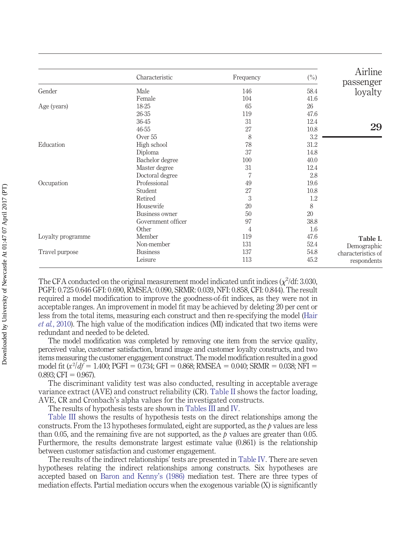<span id="page-10-0"></span>

|                   | Characteristic     | Frequency | $(\%)$ | Airline<br>passenger |
|-------------------|--------------------|-----------|--------|----------------------|
| Gender            | Male               | 146       | 58.4   | loyalty              |
|                   | Female             | 104       | 41.6   |                      |
| Age (years)       | 18-25              | 65        | 26     |                      |
|                   | 26-35              | 119       | 47.6   |                      |
|                   | 36-45              | 31        | 12.4   |                      |
|                   | 46-55              | 27        | 10.8   | 29                   |
|                   | Over 55            | 8         | 3.2    |                      |
| Education         | High school        | 78        | 31.2   |                      |
|                   | Diploma            | 37        | 14.8   |                      |
|                   | Bachelor degree    | 100       | 40.0   |                      |
|                   | Master degree      | 31        | 12.4   |                      |
|                   | Doctoral degree    | 7         | 2.8    |                      |
| Occupation        | Professional       | 49        | 19.6   |                      |
|                   | Student            | 27        | 10.8   |                      |
|                   | Retired            | 3         | 1.2    |                      |
|                   | Housewife          | 20        | 8      |                      |
|                   | Business owner     | 50        | 20     |                      |
|                   | Government officer | 97        | 38.8   |                      |
|                   | Other              | 4         | 1.6    |                      |
| Loyalty programme | Member             | 119       | 47.6   | Table I.             |
|                   | Non-member         | 131       | 52.4   | Demographic          |
| Travel purpose    | <b>Business</b>    | 137       | 54.8   | characteristics of   |
|                   | Leisure            | 113       | 45.2   | respondents          |

The CFA conducted on the original measurement model indicated unfit indices  $(\chi^2/df: 3.030,$ PGFI: 0.725 0.646 GFI: 0.690, RMSEA: 0.090, SRMR: 0.039, NFI: 0.858, CFI: 0.844). The result required a model modification to improve the goodness-of-fit indices, as they were not in acceptable ranges. An improvement in model fit may be achieved by deleting 20 per cent or less from the total items, measuring each construct and then re-specifying the model [\(Hair](#page-18-15) *et al.*[, 2010\)](#page-18-15). The high value of the modification indices (MI) indicated that two items were redundant and needed to be deleted.

The model modification was completed by removing one item from the service quality, perceived value, customer satisfaction, brand image and customer loyalty constructs, and two items measuring the customer engagement construct. The model modification resulted in a good model fit ( $x^2/df = 1.400$ ; PGFI = 0.734; GFI = 0.868; RMSEA = 0.040; SRMR = 0.038; NFI =  $0.893; CFI = 0.967.$ 

The discriminant validity test was also conducted, resulting in acceptable average variance extract (AVE) and construct reliability (CR). [Table II](#page-11-0) shows the factor loading, AVE, CR and Cronbach's alpha values for the investigated constructs.

The results of hypothesis tests are shown in [Tables III](#page-13-0) and [IV.](#page-13-1)

[Table III](#page-13-0) shows the results of hypothesis tests on the direct relationships among the constructs. From the 13 hypotheses formulated, eight are supported, as the *p* values are less than 0.05, and the remaining five are not supported, as the  $p$  values are greater than 0.05. Furthermore, the results demonstrate largest estimate value (0.861) is the relationship between customer satisfaction and customer engagement.

The results of the indirect relationships' tests are presented in [Table IV.](#page-13-1) There are seven hypotheses relating the indirect relationships among constructs. Six hypotheses are accepted based on [Baron and Kenny's \(1986\)](#page-17-11) mediation test. There are three types of mediation effects. Partial mediation occurs when the exogenous variable (X) is significantly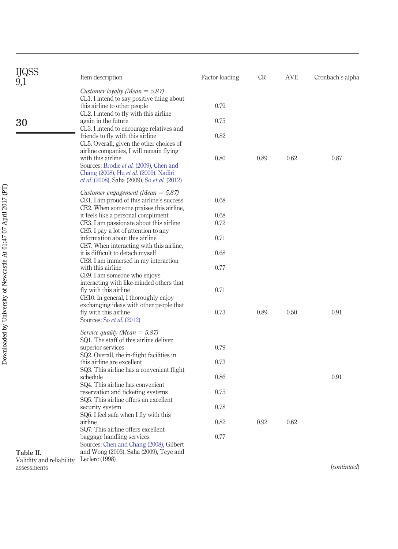<span id="page-11-0"></span>

|                                         | Item description                                                                                                                                                                                                | Factor loading | <b>CR</b> | AVE  | Cronbach's alpha   |
|-----------------------------------------|-----------------------------------------------------------------------------------------------------------------------------------------------------------------------------------------------------------------|----------------|-----------|------|--------------------|
|                                         | Customer loyalty (Mean $=$ 5.87)<br>CL1. I intend to say positive thing about<br>this airline to other people                                                                                                   | 0.79           |           |      |                    |
| 30                                      | CL2. I intend to fly with this airline<br>again in the future                                                                                                                                                   | 0.75           |           |      |                    |
|                                         | CL3. I intend to encourage relatives and<br>friends to fly with this airline<br>CL5. Overall, given the other choices of                                                                                        | 0.82           |           |      |                    |
|                                         | airline companies, I will remain flying<br>with this airline<br>Sources: Brodie et al. (2009), Chen and<br>Chang (2008), Hu et al. (2009), Nadiri<br><i>et al.</i> (2008), Saha (2009), So <i>et al.</i> (2012) | 0.80           | 0.89      | 0.62 | 0.87               |
|                                         | Customer engagement (Mean $=$ 5.87)<br>CE1. I am proud of this airline's success<br>CE2. When someone praises this airline,                                                                                     | 0.68           |           |      |                    |
|                                         | it feels like a personal compliment                                                                                                                                                                             | 0.68           |           |      |                    |
|                                         | CE3. I am passionate about this airline                                                                                                                                                                         | 0.72           |           |      |                    |
|                                         | CE5. I pay a lot of attention to any<br>information about this airline<br>CE7. When interacting with this airline,                                                                                              | 0.71           |           |      |                    |
|                                         | it is difficult to detach myself                                                                                                                                                                                | 0.68           |           |      |                    |
|                                         | CE8. I am immersed in my interaction<br>with this airline<br>CE9. I am someone who enjoys                                                                                                                       | 0.77           |           |      |                    |
|                                         | interacting with like-minded others that<br>fly with this airline<br>CE10. In general, I thoroughly enjoy                                                                                                       | 0.71           |           |      |                    |
|                                         | exchanging ideas with other people that<br>fly with this airline<br>Sources: So et al. (2012)                                                                                                                   | 0.73           | 0.89      | 0.50 | 0.91               |
|                                         | Service quality (Mean $=$ 5.87)<br>SQ1. The staff of this airline deliver                                                                                                                                       |                |           |      |                    |
|                                         | superior services                                                                                                                                                                                               | 0.79           |           |      |                    |
|                                         | SQ2. Overall, the in-flight facilities in<br>this airline are excellent<br>SQ3. This airline has a convenient flight                                                                                            | 0.73           |           |      |                    |
|                                         | schedule                                                                                                                                                                                                        | 0.86           |           |      | 0.91               |
|                                         | SQ4. This airline has convenient<br>reservation and ticketing systems<br>SQ5. This airline offers an excellent                                                                                                  | 0.75           |           |      |                    |
|                                         | security system                                                                                                                                                                                                 | 0.78           |           |      |                    |
| Table II.                               | SQ6. I feel safe when I fly with this<br>airline<br>SQ7. This airline offers excellent                                                                                                                          | 0.82           | 0.92      | 0.62 |                    |
|                                         | baggage handling services<br>Sources: Chen and Chang (2008), Gilbert<br>and Wong (2003), Saha (2009), Teye and                                                                                                  | 0.77           |           |      |                    |
| Validity and reliability<br>assessments | Leclerc $(1998)$                                                                                                                                                                                                |                |           |      | <i>(continued)</i> |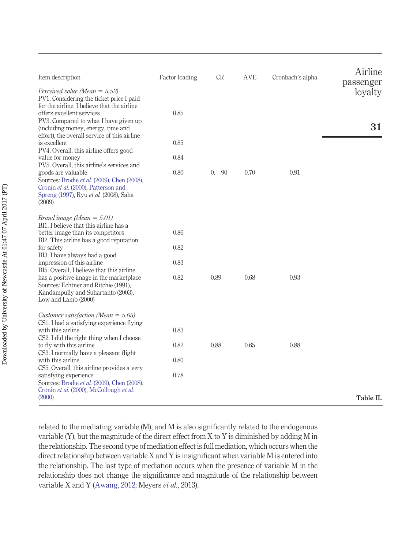| Item description                                                                                                                                                                                          | Factor loading | <b>CR</b>              | <b>AVE</b> | Cronbach's alpha | Airline<br>passenger |
|-----------------------------------------------------------------------------------------------------------------------------------------------------------------------------------------------------------|----------------|------------------------|------------|------------------|----------------------|
| Perceived value (Mean = $5.52$ )<br>PV1. Considering the ticket price I paid<br>for the airline, I believe that the airline                                                                               |                |                        |            |                  | loyalty              |
| offers excellent services<br>PV3. Compared to what I have given up<br>(including money, energy, time and                                                                                                  | 0.85           |                        |            |                  | 31                   |
| effort), the overall service of this airline<br>is excellent<br>PV4. Overall, this airline offers good                                                                                                    | 0.85           |                        |            |                  |                      |
| value for money                                                                                                                                                                                           | 0.84           |                        |            |                  |                      |
| PV5. Overall, this airline's services and<br>goods are valuable<br>Sources: Brodie et al. (2009), Chen (2008),<br>Cronin et al. (2000), Patterson and<br>Spreng (1997), Ryu et al. (2008), Saha<br>(2009) | 0.80           | $\overline{0}$ .<br>90 | 0.70       | 0.91             |                      |
| Brand image (Mean = $5.01$ )                                                                                                                                                                              |                |                        |            |                  |                      |
| BI1. I believe that this airline has a<br>better image than its competitors                                                                                                                               | 0.86           |                        |            |                  |                      |
| BI2. This airline has a good reputation<br>for safety                                                                                                                                                     | 0.82           |                        |            |                  |                      |
| BI3. I have always had a good<br>impression of this airline                                                                                                                                               | 0.83           |                        |            |                  |                      |
| BI5. Overall, I believe that this airline<br>has a positive image in the market place<br>Sources: Echtner and Ritchie (1991),<br>Kandampully and Suhartanto (2003),<br>Low and Lamb (2000)                | 0.82           | 0.89                   | 0.68       | 0.93             |                      |
| Customer satisfaction (Mean = $5.65$ )                                                                                                                                                                    |                |                        |            |                  |                      |
| CS1. I had a satisfying experience flying<br>with this airline                                                                                                                                            | 0.83           |                        |            |                  |                      |
| CS2. I did the right thing when I choose<br>to fly with this airline                                                                                                                                      | 0.82           | 0.88                   | 0.65       | 0.88             |                      |
| CS3. I normally have a pleasant flight<br>with this airline                                                                                                                                               | 0.80           |                        |            |                  |                      |
| CS5. Overall, this airline provides a very<br>satisfying experience<br>Sources: Brodie et al. (2009), Chen (2008),<br>Cronin et al. (2000), McCollough et al.                                             | 0.78           |                        |            |                  |                      |
| (2000)                                                                                                                                                                                                    |                |                        |            |                  | Table II.            |

related to the mediating variable (M), and M is also significantly related to the endogenous variable (Y), but the magnitude of the direct effect from X to Y is diminished by adding M in the relationship. The second type of mediation effect is full mediation, which occurs when the direct relationship between variable X and Y is insignificant when variable M is entered into the relationship. The last type of mediation occurs when the presence of variable M in the relationship does not change the significance and magnitude of the relationship between variable X and Y [\(Awang, 2012;](#page-17-13) Meyers *et al.*, 2013).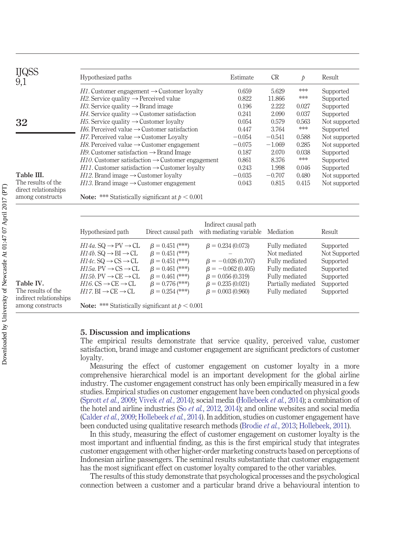<span id="page-13-0"></span>

| <b>IJQSS</b><br>9,1                      | Hypothesized paths                                                                                                                              |                                                                         |                                                   | Estimate | <b>CR</b>                                        | $\mathcal{P}$ | Result                                  |
|------------------------------------------|-------------------------------------------------------------------------------------------------------------------------------------------------|-------------------------------------------------------------------------|---------------------------------------------------|----------|--------------------------------------------------|---------------|-----------------------------------------|
|                                          | H <sub>1</sub> . Customer engagement $\rightarrow$ Customer loyalty                                                                             |                                                                         |                                                   | 0.659    | 5.629                                            | ***           | Supported                               |
|                                          | $H2$ . Service quality $\rightarrow$ Perceived value                                                                                            |                                                                         |                                                   | 0.822    | 11.866                                           | ***           | Supported                               |
|                                          |                                                                                                                                                 | <i>H3</i> . Service quality $\rightarrow$ Brand image                   |                                                   |          | 2.222                                            | 0.027         | Supported                               |
|                                          | <i>H4</i> . Service quality $\rightarrow$ Customer satisfaction                                                                                 |                                                                         |                                                   | 0.241    | 2.090                                            | 0.037         | Supported                               |
| 32                                       | <i>H</i> 5. Service quality $\rightarrow$ Customer loyalty                                                                                      |                                                                         |                                                   | 0.054    | 0.579                                            | 0.563         | Not supported                           |
|                                          |                                                                                                                                                 | <i>H6</i> . Perceived value $\rightarrow$ Customer satisfaction         |                                                   |          | 3.764                                            | ***           | Supported                               |
|                                          | $H7$ . Perceived value $\rightarrow$ Customer Lovalty                                                                                           |                                                                         |                                                   | $-0.054$ | $-0.541$                                         | 0.588         | Not supported                           |
|                                          | H8. Perceived value $\rightarrow$ Customer engagement                                                                                           |                                                                         |                                                   | $-0.075$ | $-1.069$                                         | 0.285         | Not supported                           |
|                                          | $H9$ . Customer satisfaction $\rightarrow$ Brand Image                                                                                          |                                                                         |                                                   | 0.187    | 2.070                                            | 0.038         | Supported                               |
|                                          | $H10$ . Customer satisfaction $\rightarrow$ Customer engagement                                                                                 |                                                                         |                                                   | 0.861    | 8.376                                            | $*\ast\ast$   | Supported                               |
|                                          | $H11$ . Customer satisfaction $\rightarrow$ Customer loyalty                                                                                    |                                                                         |                                                   | 0.243    | 1.998                                            | 0.046         | Supported                               |
| Table III.                               | $H12$ . Brand image $\rightarrow$ Customer loyalty                                                                                              |                                                                         |                                                   | $-0.035$ | $-0.707$                                         | 0.480         | Not supported                           |
| The results of the                       | $H13$ . Brand image $\rightarrow$ Customer engagement                                                                                           |                                                                         |                                                   | 0.043    | 0.815                                            | 0.415         | Not supported                           |
| direct relationships<br>among constructs | <b>Note:</b> *** Statistically significant at $p < 0.001$                                                                                       |                                                                         |                                                   |          |                                                  |               |                                         |
|                                          | Indirect causal path                                                                                                                            |                                                                         |                                                   |          |                                                  |               |                                         |
|                                          | Hypothesized path                                                                                                                               | Direct causal path                                                      | with mediating variable                           |          | Mediation                                        |               | Result                                  |
|                                          | $H14a$ . SQ $\rightarrow$ PV $\rightarrow$ CL<br>$H14b$ . SQ $\rightarrow$ BI $\rightarrow$ CL<br>$H14c$ . SQ $\rightarrow$ CS $\rightarrow$ CL | $\beta = 0.451$ (***)<br>$\beta = 0.451$ (***)<br>$\beta = 0.451$ (***) | $\beta = 0.234(0.073)$<br>$\beta = -0.026(0.707)$ |          | Fully mediated<br>Not mediated<br>Fully mediated |               | Supported<br>Not Supported<br>Supported |

**Table IV.** The results of the indirect relationships among constructs

#### **5. Discussion and implications**

**Note:** \*\*\* Statistically significant at  $p < 0.001$ 

<span id="page-13-1"></span> $H15a$ . PV  $\rightarrow$  CS  $\rightarrow$  CL

 $H15b. PV \rightarrow CE \rightarrow CL$ 

 $H16$ . CS  $\rightarrow$  CE  $\rightarrow$  CL

 $H17$ . BI  $\rightarrow$  CE  $\rightarrow$  CL

The empirical results demonstrate that service quality, perceived value, customer satisfaction, brand image and customer engagement are significant predictors of customer loyalty.

Fully mediated Supported

Partially mediated Supported

Fully mediated Supported

 $\beta = 0.056 (0.319)$  Fully mediated Supported

 $\beta = 0.461$  (\*\*\*)  $\beta = -0.062$  (0.405)

 $\beta = 0.776$  (\*\*\*)  $\beta = 0.235$  (0.021)

 $\beta = 0.254$  (\*\*\*)  $\beta = 0.003$  (0.960)

 $\beta = 0.461$  (\*\*\*)

Measuring the effect of customer engagement on customer loyalty in a more comprehensive hierarchical model is an important development for the global airline industry. The customer engagement construct has only been empirically measured in a few studies. Empirical studies on customer engagement have been conducted on physical goods [\(Sprott](#page-20-15) *et al.*, 2009; Vivek *et al.*[, 2014\)](#page-21-10); social media [\(Hollebeek](#page-19-17) *et al.*, 2014); a combination of the hotel and airline industries (So *et al.*[, 2012,](#page-20-4) [2014\)](#page-20-1); and online websites and social media [\(Calder](#page-17-14) *et al.*, 2009; [Hollebeek](#page-19-17) *et al.*, 2014). In addition, studies on customer engagement have been conducted using qualitative research methods [\(Brodie](#page-17-2) *et al.*, 2013; [Hollebeek, 2011\)](#page-19-18).

In this study, measuring the effect of customer engagement on customer loyalty is the most important and influential finding, as this is the first empirical study that integrates customer engagement with other higher-order marketing constructs based on perceptions of Indonesian airline passengers. The seminal results substantiate that customer engagement has the most significant effect on customer loyalty compared to the other variables.

The results of this study demonstrate that psychological processes and the psychological connection between a customer and a particular brand drive a behavioural intention to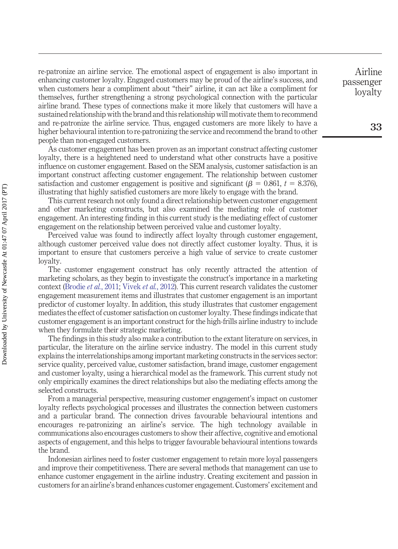re-patronize an airline service. The emotional aspect of engagement is also important in enhancing customer loyalty. Engaged customers may be proud of the airline's success, and when customers hear a compliment about "their" airline, it can act like a compliment for themselves, further strengthening a strong psychological connection with the particular airline brand. These types of connections make it more likely that customers will have a sustained relationship with the brand and this relationship will motivate them to recommend and re-patronize the airline service. Thus, engaged customers are more likely to have a higher behavioural intention to re-patronizing the service and recommend the brand to other people than non-engaged customers.

As customer engagement has been proven as an important construct affecting customer loyalty, there is a heightened need to understand what other constructs have a positive influence on customer engagement. Based on the SEM analysis, customer satisfaction is an important construct affecting customer engagement. The relationship between customer satisfaction and customer engagement is positive and significant ( $\beta = 0.861$ ,  $t = 8.376$ ), illustrating that highly satisfied customers are more likely to engage with the brand.

This current research not only found a direct relationship between customer engagement and other marketing constructs, but also examined the mediating role of customer engagement. An interesting finding in this current study is the mediating effect of customer engagement on the relationship between perceived value and customer loyalty.

Perceived value was found to indirectly affect loyalty through customer engagement, although customer perceived value does not directly affect customer loyalty. Thus, it is important to ensure that customers perceive a high value of service to create customer loyalty.

The customer engagement construct has only recently attracted the attention of marketing scholars, as they begin to investigate the construct's importance in a marketing context [\(Brodie](#page-17-0) *et al.*, 2011; [Vivek](#page-21-0) *et al.*, 2012). This current research validates the customer engagement measurement items and illustrates that customer engagement is an important predictor of customer loyalty. In addition, this study illustrates that customer engagement mediates the effect of customer satisfaction on customer loyalty. These findings indicate that customer engagement is an important construct for the high-frills airline industry to include when they formulate their strategic marketing.

The findings in this study also make a contribution to the extant literature on services, in particular, the literature on the airline service industry. The model in this current study explains the interrelationships among important marketing constructs in the services sector: service quality, perceived value, customer satisfaction, brand image, customer engagement and customer loyalty, using a hierarchical model as the framework. This current study not only empirically examines the direct relationships but also the mediating effects among the selected constructs.

From a managerial perspective, measuring customer engagement's impact on customer loyalty reflects psychological processes and illustrates the connection between customers and a particular brand. The connection drives favourable behavioural intentions and encourages re-patronizing an airline's service. The high technology available in communications also encourages customers to show their affective, cognitive and emotional aspects of engagement, and this helps to trigger favourable behavioural intentions towards the brand.

Indonesian airlines need to foster customer engagement to retain more loyal passengers and improve their competitiveness. There are several methods that management can use to enhance customer engagement in the airline industry. Creating excitement and passion in customers for an airline's brand enhances customer engagement. Customers' excitement and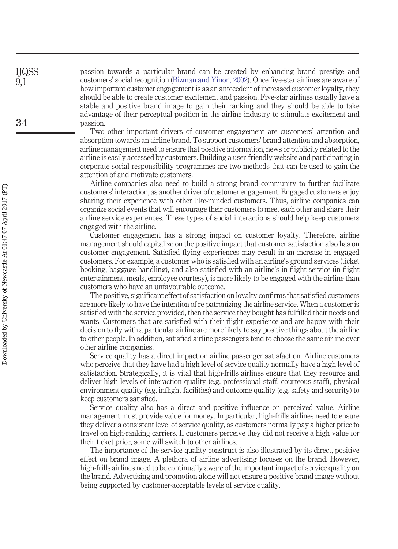passion towards a particular brand can be created by enhancing brand prestige and customers' social recognition [\(Bizman and Yinon, 2002\)](#page-17-15). Once five-star airlines are aware of how important customer engagement is as an antecedent of increased customer loyalty, they should be able to create customer excitement and passion. Five-star airlines usually have a stable and positive brand image to gain their ranking and they should be able to take advantage of their perceptual position in the airline industry to stimulate excitement and passion.

Two other important drivers of customer engagement are customers' attention and absorption towards an airline brand. To support customers' brand attention and absorption, airline management need to ensure that positive information, news or publicity related to the airline is easily accessed by customers. Building a user-friendly website and participating in corporate social responsibility programmes are two methods that can be used to gain the attention of and motivate customers.

Airline companies also need to build a strong brand community to further facilitate customers' interaction, as another driver of customer engagement. Engaged customers enjoy sharing their experience with other like-minded customers. Thus, airline companies can organize social events that will encourage their customers to meet each other and share their airline service experiences. These types of social interactions should help keep customers engaged with the airline.

Customer engagement has a strong impact on customer loyalty. Therefore, airline management should capitalize on the positive impact that customer satisfaction also has on customer engagement. Satisfied flying experiences may result in an increase in engaged customers. For example, a customer who is satisfied with an airline's ground services (ticket booking, baggage handling), and also satisfied with an airline's in-flight service (in-flight entertainment, meals, employee courtesy), is more likely to be engaged with the airline than customers who have an unfavourable outcome.

The positive, significant effect of satisfaction on loyalty confirms that satisfied customers are more likely to have the intention of re-patronizing the airline service. When a customer is satisfied with the service provided, then the service they bought has fulfilled their needs and wants. Customers that are satisfied with their flight experience and are happy with their decision to fly with a particular airline are more likely to say positive things about the airline to other people. In addition, satisfied airline passengers tend to choose the same airline over other airline companies.

Service quality has a direct impact on airline passenger satisfaction. Airline customers who perceive that they have had a high level of service quality normally have a high level of satisfaction. Strategically, it is vital that high-frills airlines ensure that they resource and deliver high levels of interaction quality (e.g. professional staff, courteous staff), physical environment quality (e.g. inflight facilities) and outcome quality (e.g. safety and security) to keep customers satisfied.

Service quality also has a direct and positive influence on perceived value. Airline management must provide value for money. In particular, high-frills airlines need to ensure they deliver a consistent level of service quality, as customers normally pay a higher price to travel on high-ranking carriers. If customers perceive they did not receive a high value for their ticket price, some will switch to other airlines.

The importance of the service quality construct is also illustrated by its direct, positive effect on brand image. A plethora of airline advertising focuses on the brand. However, high-frills airlines need to be continually aware of the important impact of service quality on the brand. Advertising and promotion alone will not ensure a positive brand image without being supported by customer-acceptable levels of service quality.

IJQSS 9,1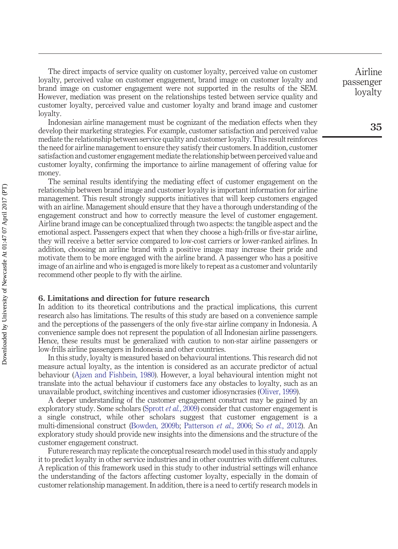The direct impacts of service quality on customer loyalty, perceived value on customer loyalty, perceived value on customer engagement, brand image on customer loyalty and brand image on customer engagement were not supported in the results of the SEM. However, mediation was present on the relationships tested between service quality and customer loyalty, perceived value and customer loyalty and brand image and customer loyalty.

Indonesian airline management must be cognizant of the mediation effects when they develop their marketing strategies. For example, customer satisfaction and perceived value mediate the relationship between service quality and customer loyalty. This result reinforces the need for airline management to ensure they satisfy their customers. In addition, customer satisfaction and customer engagement mediate the relationship between perceived value and customer loyalty, confirming the importance to airline management of offering value for money.

The seminal results identifying the mediating effect of customer engagement on the relationship between brand image and customer loyalty is important information for airline management. This result strongly supports initiatives that will keep customers engaged with an airline. Management should ensure that they have a thorough understanding of the engagement construct and how to correctly measure the level of customer engagement. Airline brand image can be conceptualized through two aspects: the tangible aspect and the emotional aspect. Passengers expect that when they choose a high-frills or five-star airline, they will receive a better service compared to low-cost carriers or lower-ranked airlines. In addition, choosing an airline brand with a positive image may increase their pride and motivate them to be more engaged with the airline brand. A passenger who has a positive image of an airline and who is engaged is more likely to repeat as a customer and voluntarily recommend other people to fly with the airline.

#### **6. Limitations and direction for future research**

In addition to its theoretical contributions and the practical implications, this current research also has limitations. The results of this study are based on a convenience sample and the perceptions of the passengers of the only five-star airline company in Indonesia. A convenience sample does not represent the population of all Indonesian airline passengers. Hence, these results must be generalized with caution to non-star airline passengers or low-frills airline passengers in Indonesia and other countries.

In this study, loyalty is measured based on behavioural intentions. This research did not measure actual loyalty, as the intention is considered as an accurate predictor of actual behaviour [\(Ajzen and Fishbein, 1980\)](#page-17-9). However, a loyal behavioural intention might not translate into the actual behaviour if customers face any obstacles to loyalty, such as an unavailable product, switching incentives and customer idiosyncrasies [\(Oliver, 1999\)](#page-20-16).

A deeper understanding of the customer engagement construct may be gained by an exploratory study. Some scholars [\(Sprott](#page-20-15) *et al.*, 2009) consider that customer engagement is a single construct, while other scholars suggest that customer engagement is a multi-dimensional construct [\(Bowden, 2009b;](#page-17-1) [Patterson](#page-20-17) *et al.*, 2006; So *et al.*[, 2012\)](#page-20-4). An exploratory study should provide new insights into the dimensions and the structure of the customer engagement construct.

Future research may replicate the conceptual research model used in this study and apply it to predict loyalty in other service industries and in other countries with different cultures. A replication of this framework used in this study to other industrial settings will enhance the understanding of the factors affecting customer loyalty, especially in the domain of customer relationship management. In addition, there is a need to certify research models in

Airline passenger loyalty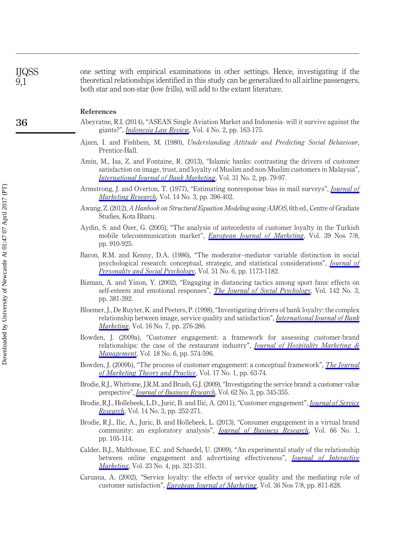one setting with empirical examinations in other settings. Hence, investigating if the theoretical relationships identified in this study can be generalized to all airline passengers, both star and non-star (low frills), will add to the extant literature.

#### **References**

- <span id="page-17-4"></span>Abeyratne, R.I. (2014), "ASEAN Single Aviation Market and Indonesia- will it survive against the giants?", *[Indonesia Law Review](http://www.emeraldinsight.com/action/showLinks?crossref=10.15742%2Filrev.v4n2.87)*, Vol. 4 No. 2, pp. 163-175.
- <span id="page-17-9"></span>Ajzen, I. and Fishbein, M. (1980), *Understanding Attitude and Predicting Social Behaviour*, Prentice-Hall.
- <span id="page-17-7"></span>Amin, M., Isa, Z. and Fontaine, R. (2013), "Islamic banks: contrasting the drivers of customer satisfaction on image, trust, and loyalty of Muslim and non-Muslim customers in Malaysia", *[International Journal of Bank Marketing](http://www.emeraldinsight.com/action/showLinks?system=10.1108%2F02652321311298627)*, Vol. 31 No. 2, pp. 79-97.
- <span id="page-17-10"></span>Armstrong, J. and Overton, T. (1977), "Estimating nonresponse bias in mail surveys", *[Journal of](http://www.emeraldinsight.com/action/showLinks?crossref=10.2307%2F3150783&isi=A1977DS66100020) [Marketing Research](http://www.emeraldinsight.com/action/showLinks?crossref=10.2307%2F3150783&isi=A1977DS66100020)*, Vol. 14 No. 3, pp. 396-402.
- <span id="page-17-13"></span>Awang, Z. (2012), *A Hanbook on Structural Equation Modeling using AMOS*, 6th ed., Centre of Gradiate Studies, Kota Bharu.
- <span id="page-17-5"></span>Aydin, S. and Özer, G. (2005), "The analysis of antecedents of customer loyalty in the Turkish mobile telecommunication market", *[European Journal of Marketing](http://www.emeraldinsight.com/action/showLinks?system=10.1108%2F03090560510601833&isi=000209059100011)*, Vol. 39 Nos 7/8, pp. 910-925.
- <span id="page-17-11"></span>Baron, R.M. and Kenny, D.A. (1986), "The moderator–mediator variable distinction in social psychological research: conceptual, strategic, and statistical considerations", *[Journal of](http://www.emeraldinsight.com/action/showLinks?crossref=10.1037%2F0022-3514.51.6.1173&isi=A1986F285400010) [Personality and Social Psychology](http://www.emeraldinsight.com/action/showLinks?crossref=10.1037%2F0022-3514.51.6.1173&isi=A1986F285400010)*, Vol. 51 No. 6, pp. 1173-1182.
- <span id="page-17-15"></span>Bizman, A. and Yinon, Y. (2002), "Engaging in distancing tactics among sport fans: effects on self-esteem and emotional responses", *[The Journal of Social Psychology](http://www.emeraldinsight.com/action/showLinks?crossref=10.1080%2F00224540209603906&isi=000176027800007)*, Vol. 142 No. 3, pp. 381-392.
- <span id="page-17-6"></span>Bloemer, J., De Ruyter, K. and Peeters, P. (1998), "Investigating drivers of bank loyalty: the complex relationship between image, service quality and satisfaction", *[International Journal of Bank](http://www.emeraldinsight.com/action/showLinks?system=10.1108%2F02652329810245984) [Marketing](http://www.emeraldinsight.com/action/showLinks?system=10.1108%2F02652329810245984)*, Vol. 16 No. 7, pp. 276-286.
- <span id="page-17-3"></span>Bowden, J. (2009a), "Customer engagement: a framework for assessing customer-brand relationships: the case of the restaurant industry", *[Journal of Hospitality Marketing &](http://www.emeraldinsight.com/action/showLinks?crossref=10.1080%2F19368620903024983) [Management](http://www.emeraldinsight.com/action/showLinks?crossref=10.1080%2F19368620903024983)*, Vol. 18 No. 6, pp. 574-596.
- <span id="page-17-1"></span>Bowden, J. (2009b), "The process of customer engagement: a conceptual framework", *[The Journal](http://www.emeraldinsight.com/action/showLinks?crossref=10.2753%2FMTP1069-6679170105) [of Marketing Theory and Practice](http://www.emeraldinsight.com/action/showLinks?crossref=10.2753%2FMTP1069-6679170105)*, Vol. 17 No. 1, pp. 63-74.
- <span id="page-17-12"></span>Brodie, R.J., Whittome, J.R.M. and Brush, G.J. (2009), "Investigating the service brand: a customer value perspective", *[Journal of Business Research](http://www.emeraldinsight.com/action/showLinks?crossref=10.1016%2Fj.jbusres.2008.06.008&isi=000264032900009)*, Vol. 62 No. 3, pp. 345-355.
- <span id="page-17-0"></span>Brodie, R.J., Hollebeek, L.D., Jurić, B. and Ilić, A. (2011), "Customer engagement", *[Journal of Service](http://www.emeraldinsight.com/action/showLinks?crossref=10.1177%2F1094670511411703&isi=000298554300001) [Research](http://www.emeraldinsight.com/action/showLinks?crossref=10.1177%2F1094670511411703&isi=000298554300001)*, Vol. 14 No. 3, pp. 252-271.
- <span id="page-17-2"></span>Brodie, R.J., Ilic, A., Juric, B. and Hollebeek, L. (2013), "Consumer engagement in a virtual brand community: an exploratory analysis", *[Journal of Business Research](http://www.emeraldinsight.com/action/showLinks?crossref=10.1016%2Fj.jbusres.2011.07.029&isi=000313608200015)*, Vol. 66 No. 1, pp. 105-114.
- <span id="page-17-14"></span>Calder, B.J., Malthouse, E.C. and Schaedel, U. (2009), "An experimental study of the relationship between online engagement and advertising effectiveness", *[Journal of Interactive](http://www.emeraldinsight.com/action/showLinks?crossref=10.1016%2Fj.intmar.2009.07.002&isi=000270765600005) [Marketing](http://www.emeraldinsight.com/action/showLinks?crossref=10.1016%2Fj.intmar.2009.07.002&isi=000270765600005)*, Vol. 23 No. 4, pp. 321-331.
- <span id="page-17-8"></span>Caruana, A. (2002), "Service loyalty: the effects of service quality and the mediating role of customer satisfaction", *[European Journal of Marketing](http://www.emeraldinsight.com/action/showLinks?system=10.1108%2F03090560210430818)*, Vol. 36 Nos 7/8, pp. 811-828.

IJQSS 9,1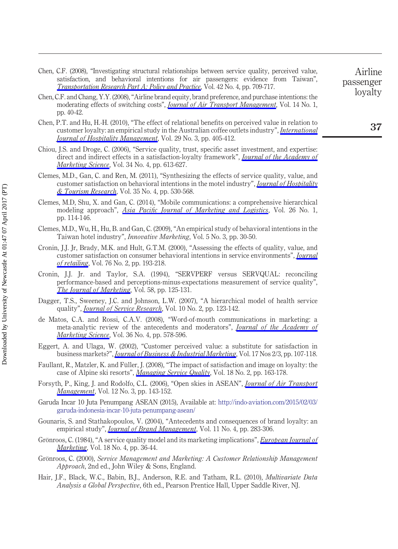- <span id="page-18-18"></span>Chen, C.F. (2008), "Investigating structural relationships between service quality, perceived value, satisfaction, and behavioral intentions for air passengers: evidence from Taiwan", *[Transportation Research Part A: Policy and Practice](http://www.emeraldinsight.com/action/showLinks?crossref=10.1016%2Fj.tra.2008.01.007&isi=000255467500011)*, Vol. 42 No. 4, pp. 709-717.
- <span id="page-18-17"></span>Chen, C.F. and Chang, Y.Y. (2008), "Airline brand equity, brand preference, and purchase intentions: the moderating effects of switching costs", *[Journal of Air Transport Management](http://www.emeraldinsight.com/action/showLinks?crossref=10.1016%2Fj.jairtraman.2007.11.003&isi=000253744200006)*, Vol. 14 No. 1, pp. 40-42.
- <span id="page-18-3"></span>Chen, P.T. and Hu, H.-H. (2010), "The effect of relational benefits on perceived value in relation to customer loyalty: an empirical study in the Australian coffee outlets industry", *[International](http://www.emeraldinsight.com/action/showLinks?crossref=10.1016%2Fj.ijhm.2009.09.006&isi=000278694700009) [Journal of Hospitality Management](http://www.emeraldinsight.com/action/showLinks?crossref=10.1016%2Fj.ijhm.2009.09.006&isi=000278694700009)*, Vol. 29 No. 3, pp. 405-412.
- <span id="page-18-6"></span>Chiou, J.S. and Droge, C. (2006), "Service quality, trust, specific asset investment, and expertise: direct and indirect effects in a satisfaction-loyalty framework", *[Journal of the Academy of](http://www.emeraldinsight.com/action/showLinks?crossref=10.1177%2F0092070306286934&isi=000240771000012) [Marketing Science](http://www.emeraldinsight.com/action/showLinks?crossref=10.1177%2F0092070306286934&isi=000240771000012)*, Vol. 34 No. 4, pp. 613-627.
- <span id="page-18-0"></span>Clemes, M.D., Gan, C. and Ren, M. (2011), "Synthesizing the effects of service quality, value, and customer satisfaction on behavioral intentions in the motel industry", *[Journal of Hospitality](http://www.emeraldinsight.com/action/showLinks?crossref=10.1177%2F1096348010382239&isi=000295694300006) [& Tourism Research](http://www.emeraldinsight.com/action/showLinks?crossref=10.1177%2F1096348010382239&isi=000295694300006)*, Vol. 35 No. 4, pp. 530-568.
- <span id="page-18-2"></span>Clemes, M.D, Shu, X. and Gan, C. (2014), "Mobile communications: a comprehensive hierarchical modeling approach", *[Asia Pacific Journal of Marketing and Logistics](http://www.emeraldinsight.com/action/showLinks?system=10.1108%2FAPJML-04-2013-0040)*, Vol. 26 No. 1, pp. 114-146.
- <span id="page-18-11"></span>Clemes, M.D., Wu, H., Hu, B. and Gan, C. (2009), "An empirical study of behavioral intentions in the Taiwan hotel industry", *Innovative Marketing*, Vol. 5 No. 3, pp. 30-50.
- <span id="page-18-1"></span>Cronin, J.J. Jr, Brady, M.K. and Hult, G.T.M. (2000), "Assessing the effects of quality, value, and customer satisfaction on consumer behavioral intentions in service environments", *[Journal](http://www.emeraldinsight.com/action/showLinks?crossref=10.1016%2FS0022-4359%2800%2900028-2&isi=000088007400003) [of retailing](http://www.emeraldinsight.com/action/showLinks?crossref=10.1016%2FS0022-4359%2800%2900028-2&isi=000088007400003)*, Vol. 76 No. 2, pp. 193-218.
- <span id="page-18-16"></span>Cronin, J.J. Jr. and Taylor, S.A. (1994), "SERVPERF versus SERVQUAL: reconciling performance-based and perceptions-minus-expectations measurement of service quality", *[The Journal of Marketing](http://www.emeraldinsight.com/action/showLinks?crossref=10.2307%2F1252256&isi=A1994MZ52900010)*, Vol. 58, pp. 125-131.
- <span id="page-18-10"></span>Dagger, T.S., Sweeney, J.C. and Johnson, L.W. (2007), "A hierarchical model of health service quality", *[Journal of Service Research](http://www.emeraldinsight.com/action/showLinks?crossref=10.1177%2F1094670507309594&isi=000250493400002)*, Vol. 10 No. 2, pp. 123-142.
- <span id="page-18-13"></span>de Matos, C.A. and Rossi, C.A.V. (2008), "Word-of-mouth communications in marketing: a meta-analytic review of the antecedents and moderators", *[Journal of the Academy of](http://www.emeraldinsight.com/action/showLinks?crossref=10.1007%2Fs11747-008-0121-1&isi=000262765800009) [Marketing Science](http://www.emeraldinsight.com/action/showLinks?crossref=10.1007%2Fs11747-008-0121-1&isi=000262765800009)*, Vol. 36 No. 4, pp. 578-596.
- <span id="page-18-14"></span>Eggert, A. and Ulaga, W. (2002), "Customer perceived value: a substitute for satisfaction in business markets?", *[Journal of Business & Industrial Marketing](http://www.emeraldinsight.com/action/showLinks?system=10.1108%2F08858620210419754)*, Vol. 17 Nos 2/3, pp. 107-118.
- <span id="page-18-12"></span>Faullant, R., Matzler, K. and Füller, J. (2008), "The impact of satisfaction and image on loyalty: the case of Alpine ski resorts", *[Managing Service Quality](http://www.emeraldinsight.com/action/showLinks?system=10.1108%2F09604520810859210)*, Vol. 18 No. 2, pp. 163-178.
- <span id="page-18-4"></span>Forsyth, P., King, J. and Rodolfo, C.L. (2006), "Open skies in ASEAN", *[Journal of Air Transport](http://www.emeraldinsight.com/action/showLinks?crossref=10.1016%2Fj.jairtraman.2005.11.004&isi=000236524500005) [Management](http://www.emeraldinsight.com/action/showLinks?crossref=10.1016%2Fj.jairtraman.2005.11.004&isi=000236524500005)*, Vol. 12 No. 3, pp. 143-152.
- <span id="page-18-5"></span>Garuda Incar 10 Juta Penumpang ASEAN (2015), Available at: [http://indo-aviation.com/2015/02/03/](http://indo-aviation.com/2015/02/03/garuda-indonesia-incar-10-juta-penumpang-asean/) [garuda-indonesia-incar-10-juta-penumpang-asean/](http://indo-aviation.com/2015/02/03/garuda-indonesia-incar-10-juta-penumpang-asean/)
- <span id="page-18-7"></span>Gounaris, S. and Stathakopoulos, V. (2004), "Antecedents and consequences of brand loyalty: an empirical study", *[Journal of Brand Management](http://www.emeraldinsight.com/action/showLinks?crossref=10.1057%2Fpalgrave.bm.2540174)*, Vol. 11 No. 4, pp. 283-306.
- <span id="page-18-8"></span>Grönroos, C. (1984), "A service quality model and its marketing implications", *[European Journal of](http://www.emeraldinsight.com/action/showLinks?system=10.1108%2FEUM0000000004784&isi=A1984TS19900003) [Marketing](http://www.emeraldinsight.com/action/showLinks?system=10.1108%2FEUM0000000004784&isi=A1984TS19900003)*, Vol. 18 No. 4, pp. 36-44.
- <span id="page-18-9"></span>Grönroos, C. (2000), *Service Management and Marketing: A Customer Relationship Management Approach*, 2nd ed., John Wiley & Sons, England.
- <span id="page-18-15"></span>Hair, J.F., Black, W.C., Babin, B.J., Anderson, R.E. and Tatham, R.L. (2010), *Multivariate Data Analysis a Global Perspective*, 6th ed., Pearson Prentice Hall, Upper Saddle River, NJ.

loyalty

Airline passenger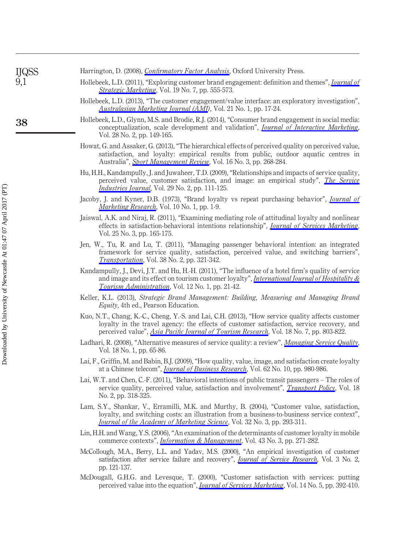| <b>IJQSS</b> | Harrington, D. (2008), <i>Confirmatory Factor Analysis</i> , Oxford University Press.                                                                                       |
|--------------|-----------------------------------------------------------------------------------------------------------------------------------------------------------------------------|
| 9,1          | Hollebeek, L.D. (2011), "Exploring customer brand engagement: definition and themes", <i>Journal of</i><br><i>Strategic Marketing</i> , Vol. 19 No. 7, pp. 555-573.         |
|              | Hollebeek, L.D. (2013), "The customer engagement/value interface: an exploratory investigation",<br><i>Australasian Marketing Journal (AMJ)</i> , Vol. 21 No. 1, pp. 17-24. |

- <span id="page-19-18"></span><span id="page-19-17"></span><span id="page-19-15"></span><span id="page-19-0"></span>Hollebeek, L.D., Glynn, M.S. and Brodie, R.J. (2014), "Consumer brand engagement in social media: conceptualization, scale development and validation", *[Journal of Interactive Marketing](http://www.emeraldinsight.com/action/showLinks?crossref=10.1016%2Fj.intmar.2013.12.002&isi=000336463500005)*, Vol. 28 No. 2, pp. 149-165.
- <span id="page-19-1"></span>Howat, G. and Assaker, G. (2013), "The hierarchical effects of perceived quality on perceived value, satisfaction, and loyalty: empirical results from public, outdoor aquatic centres in Australia", *[Sport Management Review](http://www.emeraldinsight.com/action/showLinks?crossref=10.1016%2Fj.smr.2012.10.001&isi=000334968600002)*, Vol. 16 No. 3, pp. 268-284.
- <span id="page-19-4"></span>Hu, H.H., Kandampully, J. and Juwaheer, T.D. (2009), "Relationships and impacts of service quality, perceived value, customer satisfaction, and image: an empirical study", *[The Service](http://www.emeraldinsight.com/action/showLinks?crossref=10.1080%2F02642060802292932&isi=000266035200001) [Industries Journal](http://www.emeraldinsight.com/action/showLinks?crossref=10.1080%2F02642060802292932&isi=000266035200001)*, Vol. 29 No. 2, pp. 111-125.
- <span id="page-19-2"></span>Jacoby, J. and Kyner, D.B. (1973), "Brand loyalty vs repeat purchasing behavior", *[Journal of](http://www.emeraldinsight.com/action/showLinks?crossref=10.2307%2F3149402&isi=A1973O967500001) [Marketing Research](http://www.emeraldinsight.com/action/showLinks?crossref=10.2307%2F3149402&isi=A1973O967500001)*, Vol. 10 No. 1, pp. 1-9.
- <span id="page-19-10"></span>Jaiswal, A.K. and Niraj, R. (2011), "Examining mediating role of attitudinal loyalty and nonlinear effects in satisfaction-behavioral intentions relationship", *[Journal of Services Marketing](http://www.emeraldinsight.com/action/showLinks?system=10.1108%2F08876041111129155&isi=000292340500008)*, Vol. 25 No. 3, pp. 165-175.
- <span id="page-19-9"></span>Jen, W., Tu, R. and Lu, T. (2011), "Managing passenger behavioral intention: an integrated framework for service quality, satisfaction, perceived value, and switching barriers", *[Transportation](http://www.emeraldinsight.com/action/showLinks?crossref=10.1007%2Fs11116-010-9306-9&isi=000287538300007)*, Vol. 38 No. 2, pp. 321-342.
- <span id="page-19-5"></span>Kandampully, J., Devi, J.T. and Hu, H.-H. (2011), "The influence of a hotel firm's quality of service and image and its effect on tourism customer loyalty", *[International Journal of Hospitality &](http://www.emeraldinsight.com/action/showLinks?crossref=10.1080%2F15256480.2011.540976) [Tourism Administration](http://www.emeraldinsight.com/action/showLinks?crossref=10.1080%2F15256480.2011.540976)*, Vol. 12 No. 1, pp. 21-42.
- <span id="page-19-11"></span>Keller, K.L. (2013), *Strategic Brand Management: Building, Measuring and Managing Brand Equity*, 4th ed., Pearson Education.
- <span id="page-19-12"></span>Kuo, N.T., Chang, K.-C., Cheng, Y.-S. and Lai, C.H. (2013), "How service quality affects customer loyalty in the travel agency: the effects of customer satisfaction, service recovery, and perceived value", *[Asia Pacific Journal of Tourism Research](http://www.emeraldinsight.com/action/showLinks?crossref=10.1080%2F10941665.2012.708352&isi=000325059800007)*, Vol. 18 No. 7, pp. 803-822.
- <span id="page-19-3"></span>Ladhari, R. (2008), "Alternative measures of service quality: a review", *[Managing Service Quality](http://www.emeraldinsight.com/action/showLinks?system=10.1108%2F09604520810842849)*, Vol. 18 No. 1, pp. 65-86.
- <span id="page-19-6"></span>Lai, F., Griffin, M. and Babin, B.J. (2009), "How quality, value, image, and satisfaction create loyalty at a Chinese telecom", *[Journal of Business Research](http://www.emeraldinsight.com/action/showLinks?crossref=10.1016%2Fj.jbusres.2008.10.015&isi=000269428000009)*, Vol. 62 No. 10, pp. 980-986.
- <span id="page-19-7"></span>Lai, W.T. and Chen, C.-F. (2011), "Behavioral intentions of public transit passengers – The roles of service quality, perceived value, satisfaction and involvement", *[Transport Policy](http://www.emeraldinsight.com/action/showLinks?crossref=10.1016%2Fj.tranpol.2010.09.003&isi=000287776300003)*, Vol. 18 No. 2, pp. 318-325.
- <span id="page-19-13"></span>Lam, S.Y., Shankar, V., Erramilli, M.K. and Murthy, B. (2004), "Customer value, satisfaction, loyalty, and switching costs: an illustration from a business-to-business service context", *[Journal of the Academy of Marketing Science](http://www.emeraldinsight.com/action/showLinks?crossref=10.1177%2F0092070304263330&isi=000221972100005)*, Vol. 32 No. 3, pp. 293-311.
- <span id="page-19-14"></span>Lin, H.H. and Wang, Y.S. (2006), "An examination of the determinants of customer loyalty in mobile commerce contexts", *[Information & Management](http://www.emeraldinsight.com/action/showLinks?crossref=10.1016%2Fj.im.2005.08.001&isi=000236427300002)*, Vol. 43 No. 3, pp. 271-282.
- <span id="page-19-16"></span>McCollough, M.A., Berry, L.L. and Yadav, M.S. (2000), "An empirical investigation of customer satisfaction after service failure and recovery", *[Journal of Service Research](http://www.emeraldinsight.com/action/showLinks?crossref=10.1177%2F109467050032002)*, Vol. 3 No. 2, pp. 121-137.
- <span id="page-19-8"></span>McDougall, G.H.G. and Levesque, T. (2000), "Customer satisfaction with services: putting perceived value into the equation", *[Journal of Services Marketing](http://www.emeraldinsight.com/action/showLinks?system=10.1108%2F08876040010340937)*, Vol. 14 No. 5, pp. 392-410.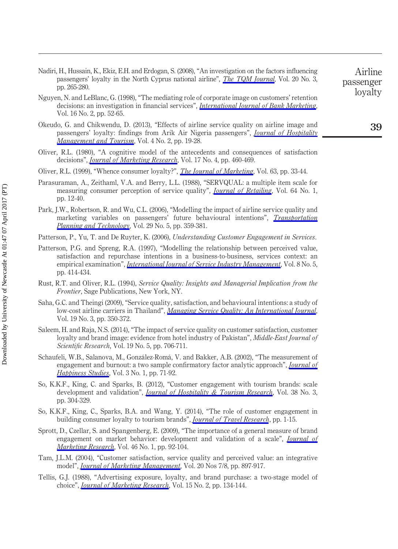- <span id="page-20-14"></span>Nadiri, H., Hussain, K., Ekiz, E.H. and Erdogan, S. (2008), "An investigation on the factors influencing passengers' loyalty in the North Cyprus national airline", *[The TQM Journal](http://www.emeraldinsight.com/action/showLinks?system=10.1108%2F17542730810867272)*, Vol. 20 No. 3, pp. 265-280.
- <span id="page-20-12"></span>Nguyen, N. and LeBlanc, G. (1998), "The mediating role of corporate image on customers' retention decisions: an investigation in financial services", *[International Journal of Bank Marketing](http://www.emeraldinsight.com/action/showLinks?system=10.1108%2F02652329810206707)*, Vol. 16 No. 2, pp. 52-65.
- <span id="page-20-8"></span>Okeudo, G. and Chikwendu, D. (2013), "Effects of airline service quality on airline image and passengers' loyalty: findings from Arik Air Nigeria passengers", *[Journal of Hospitality](http://www.emeraldinsight.com/action/showLinks?crossref=10.5897%2FJHMT2013.0089) [Management and Tourism](http://www.emeraldinsight.com/action/showLinks?crossref=10.5897%2FJHMT2013.0089)*, Vol. 4 No. 2, pp. 19-28.
- <span id="page-20-9"></span>Oliver, R.L. (1980), "A cognitive model of the antecedents and consequences of satisfaction decisions", *[Journal of Marketing Research](http://www.emeraldinsight.com/action/showLinks?crossref=10.2307%2F3150499&isi=A1980KR80300005)*, Vol. 17 No. 4, pp. 460-469.
- <span id="page-20-16"></span>Oliver, R.L. (1999), "Whence consumer loyalty?", *[The Journal of Marketing](http://www.emeraldinsight.com/action/showLinks?crossref=10.2307%2F1252099&isi=000083485900005)*, Vol. 63, pp. 33-44.
- <span id="page-20-5"></span>Parasuraman, A., Zeithaml, V.A. and Berry, L.L. (1988), "SERVQUAL: a multiple item scale for measuring consumer perception of service quality", *[Journal of Retailing](http://www.emeraldinsight.com/action/showLinks?isi=A1988N540200002)*, Vol. 64 No. 1, pp. 12-40.
- <span id="page-20-2"></span>Park, J.W., Robertson, R. and Wu, C.L. (2006), "Modelling the impact of airline service quality and marketing variables on passengers' future behavioural intentions", *[Transportation](http://www.emeraldinsight.com/action/showLinks?crossref=10.1080%2F03081060600917686&isi=000241552000002) [Planning and Technology](http://www.emeraldinsight.com/action/showLinks?crossref=10.1080%2F03081060600917686&isi=000241552000002)*, Vol. 29 No. 5, pp. 359-381.
- <span id="page-20-17"></span>Patterson, P., Yu, T. and De Ruyter, K. (2006), *Understanding Customer Engagement in Services*.
- <span id="page-20-13"></span>Patterson, P.G. and Spreng, R.A. (1997), "Modelling the relationship between perceived value, satisfaction and repurchase intentions in a business-to-business, services context: an empirical examination", *[International Journal of Service Industry Management](http://www.emeraldinsight.com/action/showLinks?system=10.1108%2F09564239710189835&isi=000071441000005)*, Vol. 8 No. 5, pp. 414-434.
- <span id="page-20-11"></span>Rust, R.T. and Oliver, R.L. (1994), *Service Quality: Insights and Managerial Implication from the Frontier*, Sage Publications, New York, NY.
- <span id="page-20-10"></span>Saha, G.C. and Theingi (2009), "Service quality, satisfaction, and behavioural intentions: a study of low-cost airline carriers in Thailand", *[Managing Service Quality: An International Journal](http://www.emeraldinsight.com/action/showLinks?system=10.1108%2F09604520910955348)*, Vol. 19 No. 3, pp. 350-372.
- <span id="page-20-7"></span>Saleem, H. and Raja, N.S. (2014), "The impact of service quality on customer satisfaction, customer loyalty and brand image: evidence from hotel industry of Pakistan", *Middle-East Journal of Scientific Research*, Vol. 19 No. 5, pp. 706-711.
- <span id="page-20-0"></span>Schaufeli, W.B., Salanova, M., González-Romá, V. and Bakker, A.B. (2002), "The measurement of engagement and burnout: a two sample confirmatory factor analytic approach", *[Journal of](http://www.emeraldinsight.com/action/showLinks?crossref=10.1023%2FA%3A1015630930326) [Happiness Studies](http://www.emeraldinsight.com/action/showLinks?crossref=10.1023%2FA%3A1015630930326)*, Vol. 3 No. 1, pp. 71-92.
- <span id="page-20-4"></span>So, K.K.F., King, C. and Sparks, B. (2012), "Customer engagement with tourism brands: scale development and validation", *[Journal of Hospitality & Tourism Research](http://www.emeraldinsight.com/action/showLinks?crossref=10.1177%2F1096348012451456&isi=000342581300002)*, Vol. 38 No. 3, pp. 304-329.
- <span id="page-20-1"></span>So, K.K.F., King, C., Sparks, B.A. and Wang, Y. (2014), "The role of customer engagement in building consumer loyalty to tourism brands", *[Journal of Travel Research](http://www.emeraldinsight.com/action/showLinks?isi=000366607900005)*, pp. 1-15.
- <span id="page-20-15"></span>Sprott, D., Czellar, S. and Spangenberg, E. (2009), "The importance of a general measure of brand engagement on market behavior: development and validation of a scale", *[Journal of](http://www.emeraldinsight.com/action/showLinks?crossref=10.1509%2Fjmkr.46.1.92&isi=000262871000011) [Marketing Research](http://www.emeraldinsight.com/action/showLinks?crossref=10.1509%2Fjmkr.46.1.92&isi=000262871000011)*, Vol. 46 No. 1, pp. 92-104.
- <span id="page-20-6"></span>Tam, J.L.M. (2004), "Customer satisfaction, service quality and perceived value: an integrative model", *[Journal of Marketing Management](http://www.emeraldinsight.com/action/showLinks?crossref=10.1362%2F0267257041838719)*, Vol. 20 Nos 7/8, pp. 897-917.
- <span id="page-20-3"></span>Tellis, G.J. (1988), "Advertising exposure, loyalty, and brand purchase: a two-stage model of choice", *[Journal of Marketing Research](http://www.emeraldinsight.com/action/showLinks?crossref=10.2307%2F3172645)*, Vol. 15 No. 2, pp. 134-144.

Downloaded by University of Newcastle At 01:47 07 April 2017 (PT) Downloaded by University of Newcastle At 01:47 07 April 2017 (PT)

Airline passenger loyalty